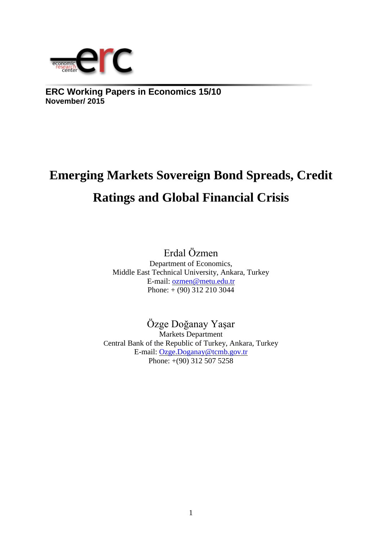

**ERC Working Papers in Economics 15/10 November/ 2015**

# **Emerging Markets Sovereign Bond Spreads, Credit Ratings and Global Financial Crisis**

Erdal Özmen Department of Economics, Middle East Technical University, Ankara, Turkey E-mail: [ozmen@metu.edu.tr](mailto:ozmen@metu.edu.tr) Phone: + (90) 312 210 3044

# Özge Doğanay Yaşar

Markets Department Central Bank of the Republic of Turkey, Ankara, Turkey E-mail: [Ozge.Doganay@tcmb.gov.tr](mailto:Ozge.Doganay@tcmb.gov.tr) Phone: +(90) 312 507 5258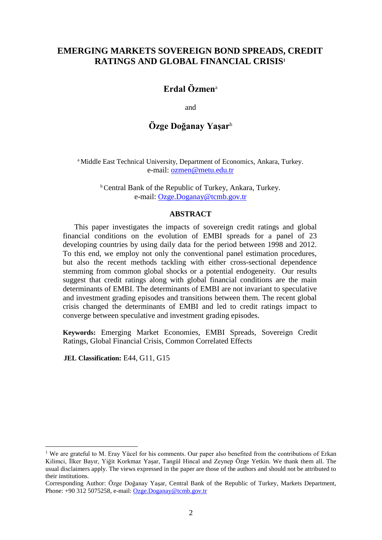### **EMERGING MARKETS SOVEREIGN BOND SPREADS, CREDIT RATINGS AND GLOBAL FINANCIAL CRISIS<sup>1</sup>**

## **Erdal Özmen**<sup>a</sup>

and

# **Özge Doğanay Yaşar**<sup>b</sup>

<sup>a</sup> Middle East Technical University, Department of Economics, Ankara, Turkey. e-mail: [ozmen@metu.edu.tr](mailto:ozmen@metu.edu.tr)

> **b** Central Bank of the Republic of Turkey, Ankara, Turkey. e-mail: [Ozge.Doganay@tcmb.gov.tr](mailto:Ozge.Doganay@tcmb.gov.tr)

#### **ABSTRACT**

This paper investigates the impacts of sovereign credit ratings and global financial conditions on the evolution of EMBI spreads for a panel of 23 developing countries by using daily data for the period between 1998 and 2012. To this end, we employ not only the conventional panel estimation procedures, but also the recent methods tackling with either cross-sectional dependence stemming from common global shocks or a potential endogeneity. Our results suggest that credit ratings along with global financial conditions are the main determinants of EMBI. The determinants of EMBI are not invariant to speculative and investment grading episodes and transitions between them. The recent global crisis changed the determinants of EMBI and led to credit ratings impact to converge between speculative and investment grading episodes.

**Keywords:** Emerging Market Economies, EMBI Spreads, Sovereign Credit Ratings, Global Financial Crisis, Common Correlated Effects

**JEL Classification:** E44, G11, G15

<sup>&</sup>lt;sup>1</sup> We are grateful to M. Eray Yücel for his comments. Our paper also benefited from the contributions of Erkan Kilimci, İlker Bayır, Yiğit Korkmaz Yaşar, Tangül Hincal and Zeynep Özge Yetkin. We thank them all. The usual disclaimers apply. The views expressed in the paper are those of the authors and should not be attributed to their institutions.

Corresponding Author: Özge Doğanay Yaşar, Central Bank of the Republic of Turkey, Markets Department, Phone: +90 312 5075258, e-mail[: Ozge.Doganay@tcmb.gov.tr](mailto:Ozge.Doganay@tcmb.gov.tr)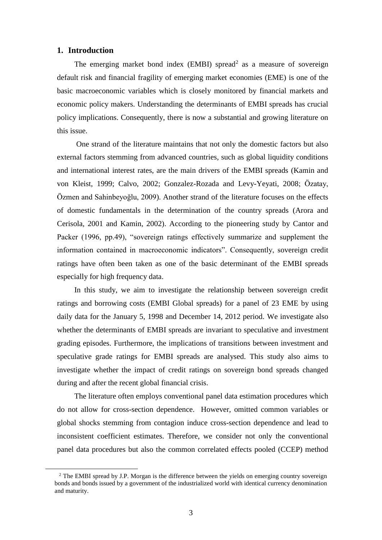#### **1. Introduction**

 $\overline{a}$ 

The emerging market bond index (EMBI) spread<sup>2</sup> as a measure of sovereign default risk and financial fragility of emerging market economies (EME) is one of the basic macroeconomic variables which is closely monitored by financial markets and economic policy makers. Understanding the determinants of EMBI spreads has crucial policy implications. Consequently, there is now a substantial and growing literature on this issue.

One strand of the literature maintains that not only the domestic factors but also external factors stemming from advanced countries, such as global liquidity conditions and international interest rates, are the main drivers of the EMBI spreads (Kamin and von Kleist, 1999; Calvo, 2002; Gonzalez-Rozada and Levy-Yeyati, 2008; Özatay, Özmen and Sahinbeyoğlu, 2009). Another strand of the literature focuses on the effects of domestic fundamentals in the determination of the country spreads (Arora and Cerisola, 2001 and Kamin, 2002). According to the pioneering study by Cantor and Packer (1996, pp.49), "sovereign ratings effectively summarize and supplement the information contained in macroeconomic indicators". Consequently, sovereign credit ratings have often been taken as one of the basic determinant of the EMBI spreads especially for high frequency data.

In this study, we aim to investigate the relationship between sovereign credit ratings and borrowing costs (EMBI Global spreads) for a panel of 23 EME by using daily data for the January 5, 1998 and December 14, 2012 period. We investigate also whether the determinants of EMBI spreads are invariant to speculative and investment grading episodes. Furthermore, the implications of transitions between investment and speculative grade ratings for EMBI spreads are analysed. This study also aims to investigate whether the impact of credit ratings on sovereign bond spreads changed during and after the recent global financial crisis.

The literature often employs conventional panel data estimation procedures which do not allow for cross-section dependence. However, omitted common variables or global shocks stemming from contagion induce cross-section dependence and lead to inconsistent coefficient estimates. Therefore, we consider not only the conventional panel data procedures but also the common correlated effects pooled (CCEP) method

<sup>&</sup>lt;sup>2</sup> The EMBI spread by J.P. Morgan is the difference between the yields on emerging country sovereign bonds and bonds issued by a government of the industrialized world with identical currency denomination and maturity.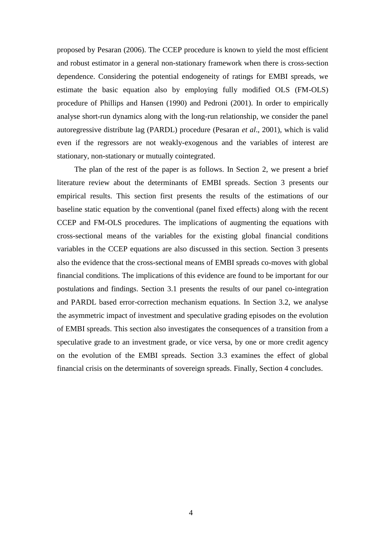proposed by Pesaran (2006). The CCEP procedure is known to yield the most efficient and robust estimator in a general non-stationary framework when there is cross-section dependence. Considering the potential endogeneity of ratings for EMBI spreads, we estimate the basic equation also by employing fully modified OLS (FM-OLS) procedure of Phillips and Hansen (1990) and Pedroni (2001). In order to empirically analyse short-run dynamics along with the long-run relationship, we consider the panel autoregressive distribute lag (PARDL) procedure (Pesaran *et al*., 2001), which is valid even if the regressors are not weakly-exogenous and the variables of interest are stationary, non-stationary or mutually cointegrated.

The plan of the rest of the paper is as follows. In Section 2, we present a brief literature review about the determinants of EMBI spreads. Section 3 presents our empirical results. This section first presents the results of the estimations of our baseline static equation by the conventional (panel fixed effects) along with the recent CCEP and FM-OLS procedures. The implications of augmenting the equations with cross-sectional means of the variables for the existing global financial conditions variables in the CCEP equations are also discussed in this section. Section 3 presents also the evidence that the cross-sectional means of EMBI spreads co-moves with global financial conditions. The implications of this evidence are found to be important for our postulations and findings. Section 3.1 presents the results of our panel co-integration and PARDL based error-correction mechanism equations. In Section 3.2, we analyse the asymmetric impact of investment and speculative grading episodes on the evolution of EMBI spreads. This section also investigates the consequences of a transition from a speculative grade to an investment grade, or vice versa, by one or more credit agency on the evolution of the EMBI spreads. Section 3.3 examines the effect of global financial crisis on the determinants of sovereign spreads. Finally, Section 4 concludes.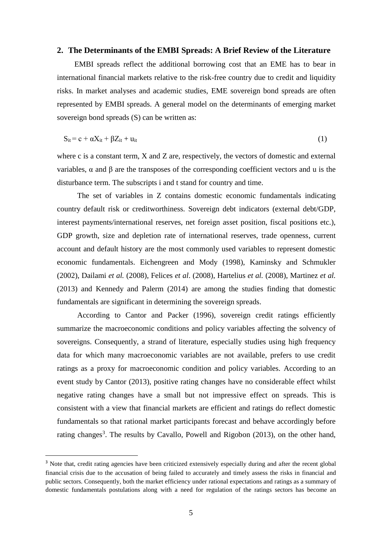#### **2. The Determinants of the EMBI Spreads: A Brief Review of the Literature**

EMBI spreads reflect the additional borrowing cost that an EME has to bear in international financial markets relative to the risk-free country due to credit and liquidity risks. In market analyses and academic studies, EME sovereign bond spreads are often represented by EMBI spreads. A general model on the determinants of emerging market sovereign bond spreads (S) can be written as:

$$
S_{it} = c + \alpha X_{it} + \beta Z_{it} + u_{it}
$$
 (1)

where c is a constant term, X and Z are, respectively, the vectors of domestic and external variables, α and β are the transposes of the corresponding coefficient vectors and u is the disturbance term. The subscripts i and t stand for country and time.

The set of variables in Z contains domestic economic fundamentals indicating country default risk or creditworthiness. Sovereign debt indicators (external debt/GDP, interest payments/international reserves, net foreign asset position, fiscal positions etc.), GDP growth, size and depletion rate of international reserves, trade openness, current account and default history are the most commonly used variables to represent domestic economic fundamentals. Eichengreen and Mody (1998), Kaminsky and Schmukler (2002), Dailami *et al.* (2008), Felices *et al*. (2008), Hartelius *et al.* (2008), Martinez *et al.* (2013) and Kennedy and Palerm (2014) are among the studies finding that domestic fundamentals are significant in determining the sovereign spreads.

According to Cantor and Packer (1996), sovereign credit ratings efficiently summarize the macroeconomic conditions and policy variables affecting the solvency of sovereigns. Consequently, a strand of literature, especially studies using high frequency data for which many macroeconomic variables are not available, prefers to use credit ratings as a proxy for macroeconomic condition and policy variables. According to an event study by Cantor (2013), positive rating changes have no considerable effect whilst negative rating changes have a small but not impressive effect on spreads. This is consistent with a view that financial markets are efficient and ratings do reflect domestic fundamentals so that rational market participants forecast and behave accordingly before rating changes<sup>3</sup>. The results by Cavallo, Powell and Rigobon  $(2013)$ , on the other hand,

<sup>&</sup>lt;sup>3</sup> Note that, credit rating agencies have been criticized extensively especially during and after the recent global financial crisis due to the accusation of being failed to accurately and timely assess the risks in financial and public sectors. Consequently, both the market efficiency under rational expectations and ratings as a summary of domestic fundamentals postulations along with a need for regulation of the ratings sectors has become an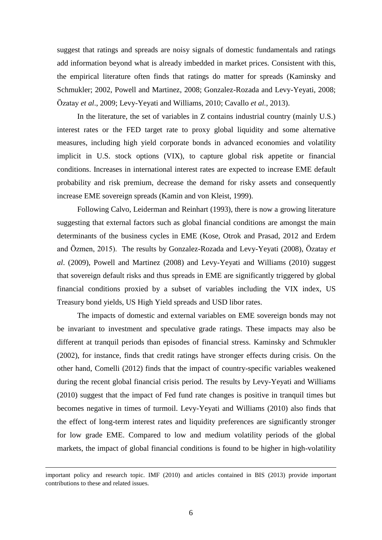suggest that ratings and spreads are noisy signals of domestic fundamentals and ratings add information beyond what is already imbedded in market prices. Consistent with this, the empirical literature often finds that ratings do matter for spreads (Kaminsky and Schmukler; 2002, Powell and Martinez, 2008; Gonzalez-Rozada and Levy-Yeyati, 2008; Özatay *et al*., 2009; Levy-Yeyati and Williams, 2010; Cavallo *et al.*, 2013).

In the literature, the set of variables in Z contains industrial country (mainly U.S.) interest rates or the FED target rate to proxy global liquidity and some alternative measures, including high yield corporate bonds in advanced economies and volatility implicit in U.S. stock options (VIX), to capture global risk appetite or financial conditions. Increases in international interest rates are expected to increase EME default probability and risk premium, decrease the demand for risky assets and consequently increase EME sovereign spreads (Kamin and von Kleist, 1999).

Following Calvo, Leiderman and Reinhart (1993), there is now a growing literature suggesting that external factors such as global financial conditions are amongst the main determinants of the business cycles in EME (Kose, Otrok and Prasad, 2012 and Erdem and Özmen, 2015). The results by Gonzalez-Rozada and Levy-Yeyati (2008), Özatay *et al*. (2009), Powell and Martinez (2008) and Levy-Yeyati and Williams (2010) suggest that sovereign default risks and thus spreads in EME are significantly triggered by global financial conditions proxied by a subset of variables including the VIX index, US Treasury bond yields, US High Yield spreads and USD libor rates.

The impacts of domestic and external variables on EME sovereign bonds may not be invariant to investment and speculative grade ratings. These impacts may also be different at tranquil periods than episodes of financial stress. Kaminsky and Schmukler (2002), for instance, finds that credit ratings have stronger effects during crisis. On the other hand, Comelli (2012) finds that the impact of country-specific variables weakened during the recent global financial crisis period. The results by Levy-Yeyati and Williams (2010) suggest that the impact of Fed fund rate changes is positive in tranquil times but becomes negative in times of turmoil. Levy-Yeyati and Williams (2010) also finds that the effect of long-term interest rates and liquidity preferences are significantly stronger for low grade EME. Compared to low and medium volatility periods of the global markets, the impact of global financial conditions is found to be higher in high-volatility

important policy and research topic. IMF (2010) and articles contained in BIS (2013) provide important contributions to these and related issues.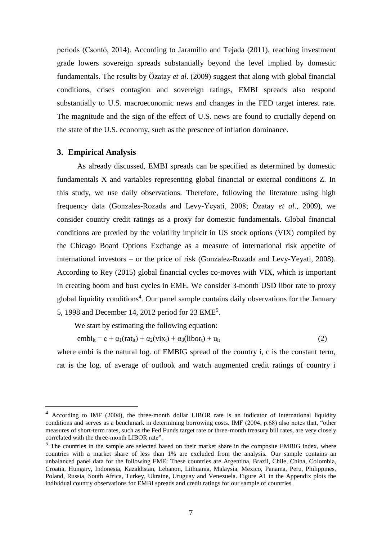periods (Csontó, 2014). According to Jaramillo and Tejada (2011), reaching investment grade lowers sovereign spreads substantially beyond the level implied by domestic fundamentals. The results by Özatay *et al*. (2009) suggest that along with global financial conditions, crises contagion and sovereign ratings, EMBI spreads also respond substantially to U.S. macroeconomic news and changes in the FED target interest rate. The magnitude and the sign of the effect of U.S. news are found to crucially depend on the state of the U.S. economy, such as the presence of inflation dominance.

#### **3. Empirical Analysis**

 $\overline{a}$ 

As already discussed, EMBI spreads can be specified as determined by domestic fundamentals X and variables representing global financial or external conditions Z. In this study, we use daily observations. Therefore, following the literature using high frequency data (Gonzales-Rozada and Levy-Yeyati, 2008; Özatay *et al*., 2009), we consider country credit ratings as a proxy for domestic fundamentals. Global financial conditions are proxied by the volatility implicit in US stock options (VIX) compiled by the Chicago Board Options Exchange as a measure of international risk appetite of international investors – or the price of risk (Gonzalez-Rozada and Levy-Yeyati, 2008). According to Rey (2015) global financial cycles co-moves with VIX, which is important in creating boom and bust cycles in EME. We consider 3-month USD libor rate to proxy global liquidity conditions<sup>4</sup>. Our panel sample contains daily observations for the January 5, 1998 and December 14, 2012 period for 23 EME<sup>5</sup>.

We start by estimating the following equation:

 $embi_{it} = c + \alpha_1(rat_{it}) + \alpha_2(vix_t) + \alpha_3(libor_t) + u_{it}$  (2)

where embi is the natural log. of EMBIG spread of the country i, c is the constant term, rat is the log. of average of outlook and watch augmented credit ratings of country i

<sup>4</sup> According to IMF (2004), the three-month dollar LIBOR rate is an indicator of international liquidity conditions and serves as a benchmark in determining borrowing costs. IMF (2004, p.68) also notes that, "other measures of short-term rates, such as the Fed Funds target rate or three-month treasury bill rates, are very closely correlated with the three-month LIBOR rate".

<sup>&</sup>lt;sup>5</sup> The countries in the sample are selected based on their market share in the composite EMBIG index, where countries with a market share of less than 1% are excluded from the analysis. Our sample contains an unbalanced panel data for the following EME: These countries are Argentina, Brazil, Chile, China, Colombia, Croatia, Hungary, Indonesia, Kazakhstan, Lebanon, Lithuania, Malaysia, Mexico, Panama, Peru, Philippines, Poland, Russia, South Africa, Turkey, Ukraine, Uruguay and Venezuela. Figure A1 in the Appendix plots the individual country observations for EMBI spreads and credit ratings for our sample of countries.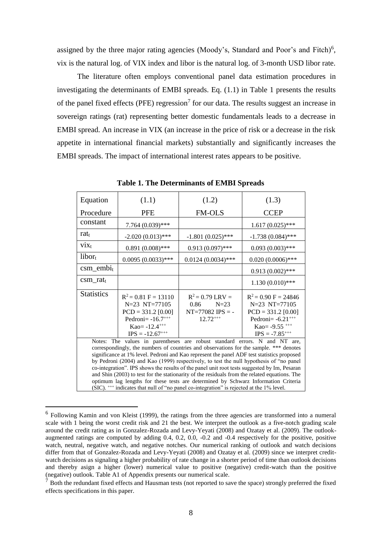assigned by the three major rating agencies (Moody's, Standard and Poor's and Fitch)<sup>6</sup>, vix is the natural log. of VIX index and libor is the natural log. of 3-month USD libor rate.

The literature often employs conventional panel data estimation procedures in investigating the determinants of EMBI spreads. Eq. (1.1) in Table 1 presents the results of the panel fixed effects (PFE) regression<sup>7</sup> for our data. The results suggest an increase in sovereign ratings (rat) representing better domestic fundamentals leads to a decrease in EMBI spread. An increase in VIX (an increase in the price of risk or a decrease in the risk appetite in international financial markets) substantially and significantly increases the EMBI spreads. The impact of international interest rates appears to be positive.

| Equation                                                                                                                                                                             | (1.1)                                        | (1.2)                                                                      | (1.3)                                                    |  |  |  |
|--------------------------------------------------------------------------------------------------------------------------------------------------------------------------------------|----------------------------------------------|----------------------------------------------------------------------------|----------------------------------------------------------|--|--|--|
| Procedure                                                                                                                                                                            | <b>PFE</b>                                   | <b>FM-OLS</b>                                                              | <b>CCEP</b>                                              |  |  |  |
| constant                                                                                                                                                                             | 7.764 (0.039)***                             |                                                                            | $1.617(0.025)$ ***                                       |  |  |  |
| rat <sub>t</sub>                                                                                                                                                                     | $-2.020(0.013)$ ***                          | $-1.801(0.025)$ ***                                                        | $-1.738(0.084)$ ***                                      |  |  |  |
| $\dot{V}$                                                                                                                                                                            | $0.891(0.008)$ ***                           | $0.913(0.097)$ ***                                                         | $0.093(0.003)$ ***                                       |  |  |  |
| $libor_t$                                                                                                                                                                            | $0.0095(0.0033)$ ***                         | $0.0124(0.0034)$ ***                                                       | $0.020(0.0006)$ ***                                      |  |  |  |
| $\text{csm\_embi}_t$                                                                                                                                                                 |                                              |                                                                            | $0.913(0.002)$ ***                                       |  |  |  |
| $csm\_rat_t$                                                                                                                                                                         |                                              |                                                                            | $1.130(0.010)$ ***                                       |  |  |  |
| <b>Statistics</b>                                                                                                                                                                    | $R^2 = 0.81$ F = 13110                       | $R^2 = 0.79$ LRV =                                                         | $R^2 = 0.90 F = 24846$                                   |  |  |  |
|                                                                                                                                                                                      | $N=23$ $NT=77105$                            | 0.86<br>$N=23$<br>$NT = 77082$ IPS = -                                     | $N=23$ $NT=77105$                                        |  |  |  |
|                                                                                                                                                                                      | $PCD = 331.2$ [0.00]<br>Pedroni = $-16.7***$ | $12.72***$                                                                 | $PCD = 331.2$ [0.00]<br>Pedroni = $-6.21$ <sup>+++</sup> |  |  |  |
|                                                                                                                                                                                      | $Kao= -12.4***$                              |                                                                            | Kao = $-9.55$ <sup>+++</sup>                             |  |  |  |
|                                                                                                                                                                                      | $IPS = -12.67***$                            |                                                                            | $IPS = -7.85^{++}$                                       |  |  |  |
|                                                                                                                                                                                      |                                              |                                                                            |                                                          |  |  |  |
|                                                                                                                                                                                      |                                              | Notes: The values in parentheses are robust standard errors. N and NT are, |                                                          |  |  |  |
| correspondingly, the numbers of countries and observations for the sample. *** denotes<br>significance at 1% level. Pedroni and Kao represent the panel ADF test statistics proposed |                                              |                                                                            |                                                          |  |  |  |
| by Pedroni (2004) and Kao (1999) respectively, to test the null hypothesis of "no panel                                                                                              |                                              |                                                                            |                                                          |  |  |  |
| co-integration". IPS shows the results of the panel unit root tests suggested by Im, Pesaran                                                                                         |                                              |                                                                            |                                                          |  |  |  |
| and Shin (2003) to test for the stationarity of the residuals from the related equations. The                                                                                        |                                              |                                                                            |                                                          |  |  |  |
| optimum lag lengths for these tests are determined by Schwarz Information Criteria                                                                                                   |                                              |                                                                            |                                                          |  |  |  |
| (SIC). <sup>+++</sup> indicates that null of "no panel co-integration" is rejected at the 1% level.                                                                                  |                                              |                                                                            |                                                          |  |  |  |

**Table 1. The Determinants of EMBI Spreads**

<sup>&</sup>lt;sup>6</sup> Following Kamin and von Kleist (1999), the ratings from the three agencies are transformed into a numeral scale with 1 being the worst credit risk and 21 the best. We interpret the outlook as a five-notch grading scale around the credit rating as in Gonzalez-Rozada and Levy-Yeyati (2008) and Ozatay et al. (2009). The outlookaugmented ratings are computed by adding 0.4, 0.2, 0.0, -0.2 and -0.4 respectively for the positive, positive watch, neutral, negative watch, and negative notches. Our numerical ranking of outlook and watch decisions differ from that of Gonzalez-Rozada and Levy-Yeyati (2008) and Ozatay et al. (2009) since we interpret creditwatch decisions as signaling a higher probability of rate change in a shorter period of time than outlook decisions and thereby asign a higher (lower) numerical value to positive (negative) credit-watch than the positive (negative) outlook. Table A1 of Appendix presents our numerical scale.

 $<sup>7</sup>$  Both the redundant fixed effects and Hausman tests (not reported to save the space) strongly preferred the fixed</sup> effects specifications in this paper.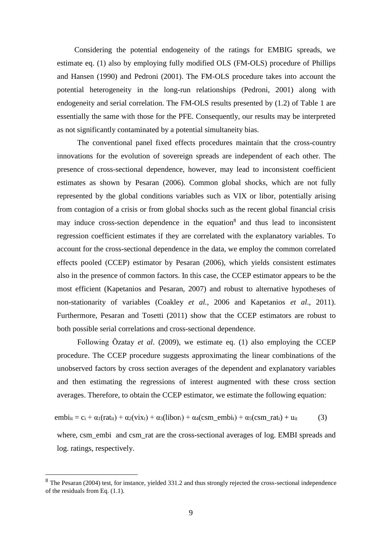Considering the potential endogeneity of the ratings for EMBIG spreads, we estimate eq. (1) also by employing fully modified OLS (FM-OLS) procedure of Phillips and Hansen (1990) and Pedroni (2001). The FM-OLS procedure takes into account the potential heterogeneity in the long-run relationships (Pedroni, 2001) along with endogeneity and serial correlation. The FM-OLS results presented by (1.2) of Table 1 are essentially the same with those for the PFE. Consequently, our results may be interpreted as not significantly contaminated by a potential simultaneity bias.

The conventional panel fixed effects procedures maintain that the cross-country innovations for the evolution of sovereign spreads are independent of each other. The presence of cross-sectional dependence, however, may lead to inconsistent coefficient estimates as shown by Pesaran (2006). Common global shocks, which are not fully represented by the global conditions variables such as VIX or libor, potentially arising from contagion of a crisis or from global shocks such as the recent global financial crisis may induce cross-section dependence in the equation<sup>8</sup> and thus lead to inconsistent regression coefficient estimates if they are correlated with the explanatory variables. To account for the cross-sectional dependence in the data, we employ the common correlated effects pooled (CCEP) estimator by Pesaran (2006), which yields consistent estimates also in the presence of common factors. In this case, the CCEP estimator appears to be the most efficient (Kapetanios and Pesaran, 2007) and robust to alternative hypotheses of non-stationarity of variables (Coakley *et al.,* 2006 and Kapetanios *et al*., 2011). Furthermore, Pesaran and Tosetti (2011) show that the CCEP estimators are robust to both possible serial correlations and cross-sectional dependence.

Following Özatay *et al*. (2009), we estimate eq. (1) also employing the CCEP procedure. The CCEP procedure suggests approximating the linear combinations of the unobserved factors by cross section averages of the dependent and explanatory variables and then estimating the regressions of interest augmented with these cross section averages. Therefore, to obtain the CCEP estimator, we estimate the following equation:

$$
embi_{it} = c_i + \alpha_1(rat_{it}) + \alpha_2(vix_t) + \alpha_3(libor_t) + \alpha_4(csm\_embi_t) + \alpha_5(csm\_rat_t) + u_{it}
$$
 (3)

where, csm\_embi and csm\_rat are the cross-sectional averages of log. EMBI spreads and log. ratings, respectively.

<sup>&</sup>lt;sup>8</sup> The Pesaran (2004) test, for instance, yielded 331.2 and thus strongly rejected the cross-sectional independence of the residuals from Eq. (1.1).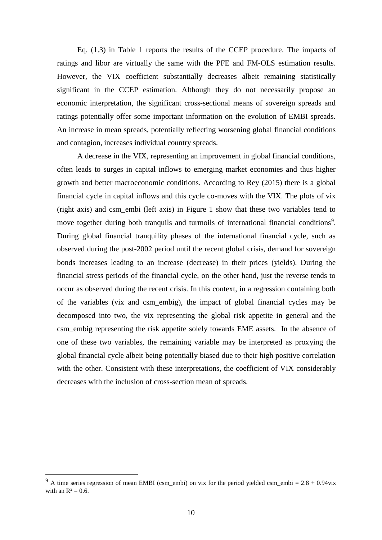Eq. (1.3) in Table 1 reports the results of the CCEP procedure. The impacts of ratings and libor are virtually the same with the PFE and FM-OLS estimation results. However, the VIX coefficient substantially decreases albeit remaining statistically significant in the CCEP estimation. Although they do not necessarily propose an economic interpretation, the significant cross-sectional means of sovereign spreads and ratings potentially offer some important information on the evolution of EMBI spreads. An increase in mean spreads, potentially reflecting worsening global financial conditions and contagion, increases individual country spreads.

A decrease in the VIX, representing an improvement in global financial conditions, often leads to surges in capital inflows to emerging market economies and thus higher growth and better macroeconomic conditions. According to Rey (2015) there is a global financial cycle in capital inflows and this cycle co-moves with the VIX. The plots of vix (right axis) and csm\_embi (left axis) in Figure 1 show that these two variables tend to move together during both tranquils and turmoils of international financial conditions<sup>9</sup>. During global financial tranquility phases of the international financial cycle, such as observed during the post-2002 period until the recent global crisis, demand for sovereign bonds increases leading to an increase (decrease) in their prices (yields). During the financial stress periods of the financial cycle, on the other hand, just the reverse tends to occur as observed during the recent crisis. In this context, in a regression containing both of the variables (vix and csm\_embig), the impact of global financial cycles may be decomposed into two, the vix representing the global risk appetite in general and the csm\_embig representing the risk appetite solely towards EME assets. In the absence of one of these two variables, the remaining variable may be interpreted as proxying the global financial cycle albeit being potentially biased due to their high positive correlation with the other. Consistent with these interpretations, the coefficient of VIX considerably decreases with the inclusion of cross-section mean of spreads.

<sup>&</sup>lt;sup>9</sup> A time series regression of mean EMBI (csm\_embi) on vix for the period yielded csm\_embi =  $2.8 + 0.94$ vix with an  $R^2 = 0.6$ .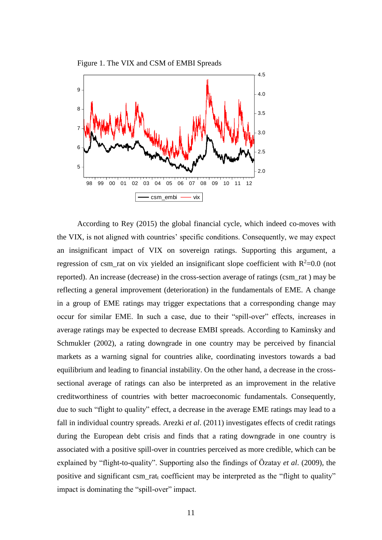

According to Rey (2015) the global financial cycle, which indeed co-moves with the VIX, is not aligned with countries' specific conditions. Consequently, we may expect an insignificant impact of VIX on sovereign ratings. Supporting this argument, a regression of csm\_rat on vix yielded an insignificant slope coefficient with  $R^2$ =0.0 (not reported). An increase (decrease) in the cross-section average of ratings (csm\_rat ) may be reflecting a general improvement (deterioration) in the fundamentals of EME. A change in a group of EME ratings may trigger expectations that a corresponding change may occur for similar EME. In such a case, due to their "spill-over" effects, increases in average ratings may be expected to decrease EMBI spreads. According to Kaminsky and Schmukler (2002), a rating downgrade in one country may be perceived by financial markets as a warning signal for countries alike, coordinating investors towards a bad equilibrium and leading to financial instability. On the other hand, a decrease in the crosssectional average of ratings can also be interpreted as an improvement in the relative creditworthiness of countries with better macroeconomic fundamentals. Consequently, due to such "flight to quality" effect, a decrease in the average EME ratings may lead to a fall in individual country spreads. Arezki *et al*. (2011) investigates effects of credit ratings during the European debt crisis and finds that a rating downgrade in one country is associated with a positive spill-over in countries perceived as more credible, which can be explained by "flight-to-quality". Supporting also the findings of Özatay *et al*. (2009), the positive and significant csm\_ratt coefficient may be interpreted as the "flight to quality" impact is dominating the "spill-over" impact.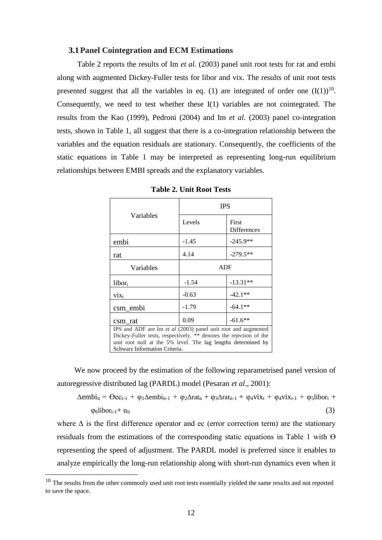#### **3.1Panel Cointegration and ECM Estimations**

Table 2 reports the results of Im *et al.* (2003) panel unit root tests for rat and embi along with augmented Dickey-Fuller tests for libor and vix. The results of unit root tests presented suggest that all the variables in eq. (1) are integrated of order one  $(I(1))^{10}$ . Consequently, we need to test whether these  $I(1)$  variables are not cointegrated. The results from the Kao (1999), Pedroni (2004) and Im *et al*. (2003) panel co-integration tests, shown in Table 1, all suggest that there is a co-integration relationship between the variables and the equation residuals are stationary. Consequently, the coefficients of the static equations in Table 1 may be interpreted as representing long-run equilibrium relationships between EMBI spreads and the explanatory variables.

|                                                                                                                                                                                                                                       | <b>IPS</b> |                             |  |  |
|---------------------------------------------------------------------------------------------------------------------------------------------------------------------------------------------------------------------------------------|------------|-----------------------------|--|--|
| Variables                                                                                                                                                                                                                             | Levels     | First<br><b>Differences</b> |  |  |
| embi                                                                                                                                                                                                                                  | $-1.45$    | $-245.9**$                  |  |  |
| rat                                                                                                                                                                                                                                   | 4.14       | $-279.5**$                  |  |  |
| Variables                                                                                                                                                                                                                             |            | ADF                         |  |  |
| $libor_t$                                                                                                                                                                                                                             | $-1.54$    | $-13.31**$                  |  |  |
| $V_{1X_{t}}$                                                                                                                                                                                                                          | $-0.63$    | $-42.1**$                   |  |  |
| csm_embi                                                                                                                                                                                                                              | $-1.79$    | $-64.1**$                   |  |  |
| csm rat                                                                                                                                                                                                                               | 0.09       | $-61.6**$                   |  |  |
| IPS and ADF are Im et al (2003) panel unit root and augmented<br>Dickey-Fuller tests, respectively. ** denotes the rejection of the<br>unit root null at the 5% level. The lag lengths determined by<br>Schwarz Information Criteria. |            |                             |  |  |

**Table 2. Unit Root Tests**

We now proceed by the estimation of the following reparametrised panel version of autoregressive distributed lag (PARDL) model (Pesaran *et al*., 2001):

 $\Delta$ embi<sub>it</sub> =  $\Theta$ ec<sub>t-1</sub> +  $\varphi_1 \Delta$ embi<sub>it-1</sub> +  $\varphi_2 \Delta$ rat<sub>it</sub> +  $\varphi_3 \Delta$ rat<sub>it-1</sub> +  $\varphi_4$ vix<sub>t-1</sub> +  $\varphi_5$ libor<sub>t</sub> +  $\varphi_6$ libor<sub>t-1</sub>+ u<sub>it</sub> (3)

where  $\Delta$  is the first difference operator and ec (error correction term) are the stationary residuals from the estimations of the corresponding static equations in Table 1 with  $\Theta$ representing the speed of adjustment. The PARDL model is preferred since it enables to analyze empirically the long-run relationship along with short-run dynamics even when it

<sup>&</sup>lt;sup>10</sup> The results from the other commonly used unit root tests essentially yielded the same results and not reported to save the space.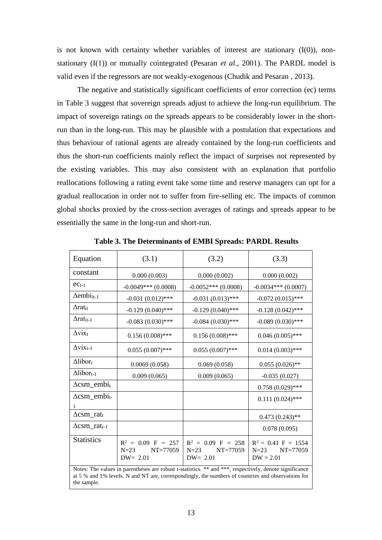is not known with certainty whether variables of interest are stationary  $(I(0))$ , nonstationary (I(1)) or mutually cointegrated (Pesaran *et al*., 2001). The PARDL model is valid even if the regressors are not weakly-exogenous (Chudik and Pesaran , 2013).

The negative and statistically significant coefficients of error correction (ec) terms in Table 3 suggest that sovereign spreads adjust to achieve the long-run equilibrium. The impact of sovereign ratings on the spreads appears to be considerably lower in the shortrun than in the long-run. This may be plausible with a postulation that expectations and thus behaviour of rational agents are already contained by the long-run coefficients and thus the short-run coefficients mainly reflect the impact of surprises not represented by the existing variables. This may also consistent with an explanation that portfolio reallocations following a rating event take some time and reserve managers can opt for a gradual reallocation in order not to suffer from fire-selling etc. The impacts of common global shocks proxied by the cross-section averages of ratings and spreads appear to be essentially the same in the long-run and short-run.

| Equation                                                                                                                                                                                                      | (3.1)                                                     | (3.2)                                                     | (3.3)                                                      |  |  |
|---------------------------------------------------------------------------------------------------------------------------------------------------------------------------------------------------------------|-----------------------------------------------------------|-----------------------------------------------------------|------------------------------------------------------------|--|--|
| constant                                                                                                                                                                                                      | 0.000(0.003)                                              | 0.000(0.002)                                              | 0.000(0.002)                                               |  |  |
| $ec_{t-1}$                                                                                                                                                                                                    | $-0.0049***$ (0.0008)                                     | $-0.0052***$ (0.0008)                                     | $-0.0034***$ (0.0007)                                      |  |  |
| $\Delta$ embi <sub>it-1</sub>                                                                                                                                                                                 | $-0.031(0.012)$ ***                                       | $-0.031(0.013)$ ***                                       | $-0.072(0.015)$ ***                                        |  |  |
| $\Delta$ rat <sub>it</sub>                                                                                                                                                                                    | $-0.129(0.040)$ ***                                       | $-0.129(0.040)$ ***                                       | $-0.128(0.042)$ ***                                        |  |  |
| $\Delta$ rat <sub>it-1</sub>                                                                                                                                                                                  | $-0.083(0.030)$ ***                                       | $-0.084(0.030)$ ***                                       | $-0.089(0.030)$ ***                                        |  |  |
| $\Delta$ vix <sub>t</sub>                                                                                                                                                                                     | $0.156(0.008)$ ***                                        | $0.156(0.008)$ ***                                        | $0.046(0.005)$ ***                                         |  |  |
| $\Delta$ vix <sub>t-1</sub>                                                                                                                                                                                   | $0.055(0.007)$ ***                                        | $0.055(0.007)$ ***                                        | $0.014(0.003)$ ***                                         |  |  |
| $\Delta$ libor <sub>t</sub>                                                                                                                                                                                   | 0.0069(0.058)                                             | 0.069(0.058)                                              | $0.055(0.026)$ **                                          |  |  |
| $\Delta$ libor <sub>t-1</sub>                                                                                                                                                                                 | 0.009(0.065)                                              | 0.009(0.065)                                              | $-0.035(0.027)$                                            |  |  |
| $\Delta$ csm_embit                                                                                                                                                                                            |                                                           |                                                           | $0.758(0.029)$ ***                                         |  |  |
| $\Delta$ csm_embi <sub>t-</sub><br>1                                                                                                                                                                          |                                                           |                                                           | $0.111(0.024)$ ***                                         |  |  |
| $\Delta$ csm_rat <sub>t</sub>                                                                                                                                                                                 |                                                           |                                                           | $0.473(0.243)$ **                                          |  |  |
| $\Delta$ csm_rat <sub>t-1</sub>                                                                                                                                                                               |                                                           |                                                           | 0.078(0.095)                                               |  |  |
| <b>Statistics</b>                                                                                                                                                                                             | $R^2 = 0.09$ F = 257<br>NT=77059<br>$N=23$<br>$DW = 2.01$ | $R^2 = 0.09$ F = 258<br>NT=77059<br>$N=23$<br>$DW = 2.01$ | $R^2 = 0.41$ F = 1554<br>$N=23$<br>NT=77059<br>$DW = 2.01$ |  |  |
| Notes: The values in parentheses are robust t-statistics. ** and ***, respectively, denote significance<br>at 5 % and 1% levels. N and NT are, correspondingly, the numbers of countries and observations for |                                                           |                                                           |                                                            |  |  |

**Table 3. The Determinants of EMBI Spreads: PARDL Results**

13

the sample.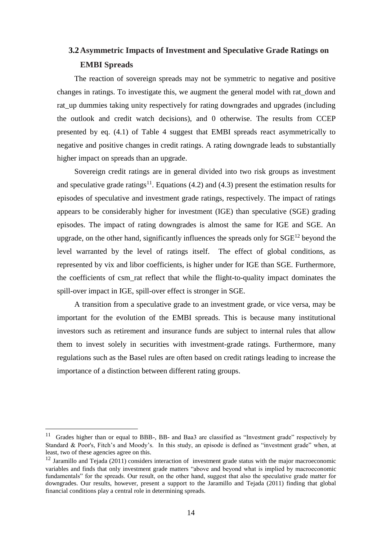# **3.2Asymmetric Impacts of Investment and Speculative Grade Ratings on EMBI Spreads**

The reaction of sovereign spreads may not be symmetric to negative and positive changes in ratings. To investigate this, we augment the general model with rat\_down and rat up dummies taking unity respectively for rating downgrades and upgrades (including the outlook and credit watch decisions), and 0 otherwise. The results from CCEP presented by eq. (4.1) of Table 4 suggest that EMBI spreads react asymmetrically to negative and positive changes in credit ratings. A rating downgrade leads to substantially higher impact on spreads than an upgrade.

Sovereign credit ratings are in general divided into two risk groups as investment and speculative grade ratings<sup>11</sup>. Equations (4.2) and (4.3) present the estimation results for episodes of speculative and investment grade ratings, respectively. The impact of ratings appears to be considerably higher for investment (IGE) than speculative (SGE) grading episodes. The impact of rating downgrades is almost the same for IGE and SGE. An upgrade, on the other hand, significantly influences the spreads only for  $SGE^{12}$  beyond the level warranted by the level of ratings itself. The effect of global conditions, as represented by vix and libor coefficients, is higher under for IGE than SGE. Furthermore, the coefficients of csm\_rat reflect that while the flight-to-quality impact dominates the spill-over impact in IGE, spill-over effect is stronger in SGE.

A transition from a speculative grade to an investment grade, or vice versa, may be important for the evolution of the EMBI spreads. This is because many institutional investors such as retirement and insurance funds are subject to internal rules that allow them to invest solely in securities with investment-grade ratings. Furthermore, many regulations such as the Basel rules are often based on credit ratings leading to increase the importance of a distinction between different rating groups.

<sup>&</sup>lt;sup>11</sup> Grades higher than or equal to BBB-, BB- and Baa3 are classified as "Investment grade" respectively by Standard & Poor's, Fitch's and Moody's. In this study, an episode is defined as "investment grade" when, at least, two of these agencies agree on this.

<sup>&</sup>lt;sup>12</sup> Jaramillo and Teiada (2011) considers interaction of investment grade status with the major macroeconomic variables and finds that only investment grade matters "above and beyond what is implied by macroeconomic fundamentals" for the spreads. Our result, on the other hand, suggest that also the speculative grade matter for downgrades. Our results, however, present a support to the Jaramillo and Tejada (2011) finding that global financial conditions play a central role in determining spreads.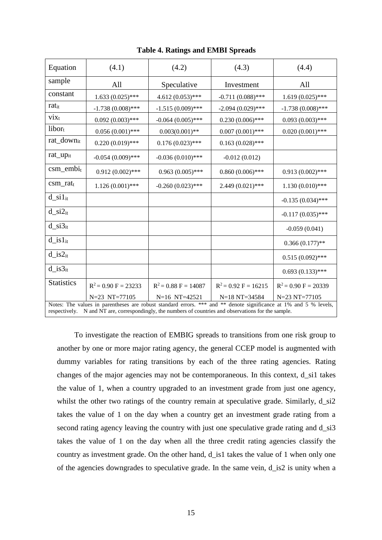| Equation                                                                                                                                                                                                                    | (4.1)                  | (4.2)                  | (4.3)                  | (4.4)                  |  |
|-----------------------------------------------------------------------------------------------------------------------------------------------------------------------------------------------------------------------------|------------------------|------------------------|------------------------|------------------------|--|
| sample                                                                                                                                                                                                                      | All                    | Speculative            | Investment             | All                    |  |
| constant                                                                                                                                                                                                                    | $1.633(0.025)$ ***     | $4.612(0.053)$ ***     | $-0.711(0.088)$ ***    | $1.619(0.025)$ ***     |  |
| ratit                                                                                                                                                                                                                       | $-1.738(0.008)$ ***    | $-1.515(0.009)$ ***    | $-2.094(0.029)$ ***    | $-1.738(0.008)$ ***    |  |
| $\overline{\text{v}}$ ix <sub>t</sub>                                                                                                                                                                                       | $0.092(0.003)$ ***     | $-0.064(0.005)$ ***    | $0.230(0.006)$ ***     | $0.093(0.003)$ ***     |  |
| $libor_t$                                                                                                                                                                                                                   | $0.056(0.001)$ ***     | $0.003(0.001)$ **      | $0.007(0.001)$ ***     | $0.020(0.001)$ ***     |  |
| rat_downit                                                                                                                                                                                                                  | $0.220(0.019)$ ***     | $0.176(0.023)$ ***     | $0.163(0.028)$ ***     |                        |  |
| rat_up <sub>it</sub>                                                                                                                                                                                                        | $-0.054(0.009)$ ***    | $-0.036(0.010)$ ***    | $-0.012(0.012)$        |                        |  |
| $csm\_embi_t$                                                                                                                                                                                                               | $0.912(0.002)$ ***     | $0.963(0.005)$ ***     | $0.860(0.006)$ ***     | $0.913(0.002)$ ***     |  |
| $csm\_rat_t$                                                                                                                                                                                                                | $1.126(0.001)$ ***     | $-0.260(0.023)$ ***    | $2.449(0.021)$ ***     | $1.130(0.010)$ ***     |  |
| $d$ _si1 <sub>it</sub>                                                                                                                                                                                                      |                        |                        |                        | $-0.135(0.034)$ ***    |  |
| $d$ <sub>si2<sub>it</sub></sub>                                                                                                                                                                                             |                        |                        |                        | $-0.117(0.035)$ ***    |  |
| $d$ _si $3_{it}$                                                                                                                                                                                                            |                        |                        |                        | $-0.059(0.041)$        |  |
| $d_is1_{it}$                                                                                                                                                                                                                |                        |                        |                        | $0.366(0.177)$ **      |  |
| $d_is2_{it}$                                                                                                                                                                                                                |                        |                        |                        | $0.515(0.092)$ ***     |  |
| $d$ _is $3_{it}$                                                                                                                                                                                                            |                        |                        |                        | $0.693(0.133)$ ***     |  |
| <b>Statistics</b>                                                                                                                                                                                                           | $R^2 = 0.90 F = 23233$ | $R^2 = 0.88$ F = 14087 | $R^2 = 0.92$ F = 16215 | $R^2 = 0.90 F = 20339$ |  |
|                                                                                                                                                                                                                             | N=23 NT=77105          | N=16 NT=42521          | $N=18$ NT=34584        | N=23 NT=77105          |  |
| Notes: The values in parentheses are robust standard errors. *** and ** denote significance at 1% and 5 % levels,<br>respectively. N and NT are, correspondingly, the numbers of countries and observations for the sample. |                        |                        |                        |                        |  |

**Table 4. Ratings and EMBI Spreads**

To investigate the reaction of EMBIG spreads to transitions from one risk group to another by one or more major rating agency, the general CCEP model is augmented with dummy variables for rating transitions by each of the three rating agencies. Rating changes of the major agencies may not be contemporaneous. In this context, d\_si1 takes the value of 1, when a country upgraded to an investment grade from just one agency, whilst the other two ratings of the country remain at speculative grade. Similarly,  $d$ \_si2 takes the value of 1 on the day when a country get an investment grade rating from a second rating agency leaving the country with just one speculative grade rating and d\_si3 takes the value of 1 on the day when all the three credit rating agencies classify the country as investment grade. On the other hand, d\_is1 takes the value of 1 when only one of the agencies downgrades to speculative grade. In the same vein, d\_is2 is unity when a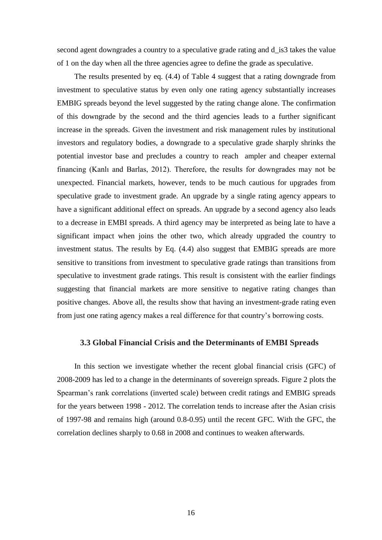second agent downgrades a country to a speculative grade rating and d\_is3 takes the value of 1 on the day when all the three agencies agree to define the grade as speculative.

The results presented by eq. (4.4) of Table 4 suggest that a rating downgrade from investment to speculative status by even only one rating agency substantially increases EMBIG spreads beyond the level suggested by the rating change alone. The confirmation of this downgrade by the second and the third agencies leads to a further significant increase in the spreads. Given the investment and risk management rules by institutional investors and regulatory bodies, a downgrade to a speculative grade sharply shrinks the potential investor base and precludes a country to reach ampler and cheaper external financing (Kanlı and Barlas, 2012). Therefore, the results for downgrades may not be unexpected. Financial markets, however, tends to be much cautious for upgrades from speculative grade to investment grade. An upgrade by a single rating agency appears to have a significant additional effect on spreads. An upgrade by a second agency also leads to a decrease in EMBI spreads. A third agency may be interpreted as being late to have a significant impact when joins the other two, which already upgraded the country to investment status. The results by Eq. (4.4) also suggest that EMBIG spreads are more sensitive to transitions from investment to speculative grade ratings than transitions from speculative to investment grade ratings. This result is consistent with the earlier findings suggesting that financial markets are more sensitive to negative rating changes than positive changes. Above all, the results show that having an investment-grade rating even from just one rating agency makes a real difference for that country's borrowing costs.

#### **3.3 Global Financial Crisis and the Determinants of EMBI Spreads**

In this section we investigate whether the recent global financial crisis (GFC) of 2008-2009 has led to a change in the determinants of sovereign spreads. Figure 2 plots the Spearman's rank correlations (inverted scale) between credit ratings and EMBIG spreads for the years between 1998 - 2012. The correlation tends to increase after the Asian crisis of 1997-98 and remains high (around 0.8-0.95) until the recent GFC. With the GFC, the correlation declines sharply to 0.68 in 2008 and continues to weaken afterwards.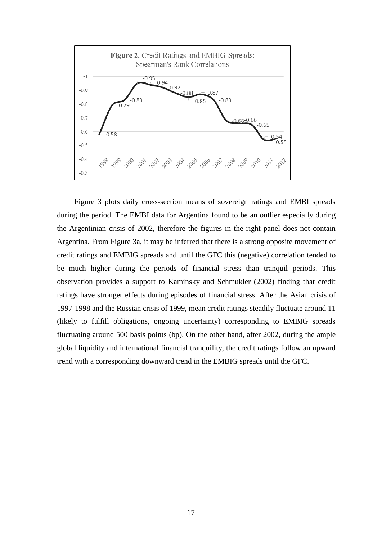

Figure 3 plots daily cross-section means of sovereign ratings and EMBI spreads during the period. The EMBI data for Argentina found to be an outlier especially during the Argentinian crisis of 2002, therefore the figures in the right panel does not contain Argentina. From Figure 3a, it may be inferred that there is a strong opposite movement of credit ratings and EMBIG spreads and until the GFC this (negative) correlation tended to be much higher during the periods of financial stress than tranquil periods. This observation provides a support to Kaminsky and Schmukler (2002) finding that credit ratings have stronger effects during episodes of financial stress. After the Asian crisis of 1997-1998 and the Russian crisis of 1999, mean credit ratings steadily fluctuate around 11 (likely to fulfill obligations, ongoing uncertainty) corresponding to EMBIG spreads fluctuating around 500 basis points (bp). On the other hand, after 2002, during the ample global liquidity and international financial tranquility, the credit ratings follow an upward trend with a corresponding downward trend in the EMBIG spreads until the GFC.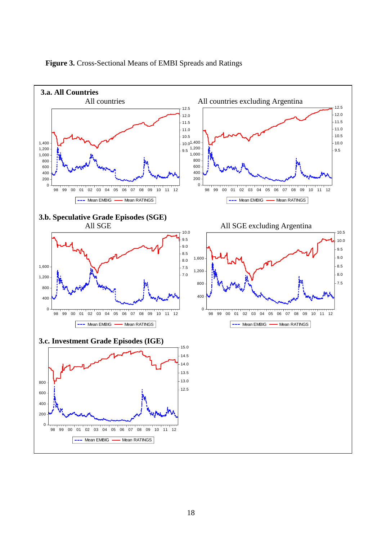

#### **Figure 3.** Cross-Sectional Means of EMBI Spreads and Ratings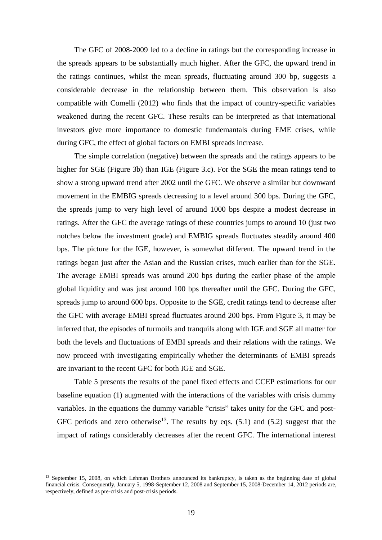The GFC of 2008-2009 led to a decline in ratings but the corresponding increase in the spreads appears to be substantially much higher. After the GFC, the upward trend in the ratings continues, whilst the mean spreads, fluctuating around 300 bp, suggests a considerable decrease in the relationship between them. This observation is also compatible with Comelli (2012) who finds that the impact of country-specific variables weakened during the recent GFC. These results can be interpreted as that international investors give more importance to domestic fundemantals during EME crises, while during GFC, the effect of global factors on EMBI spreads increase.

The simple correlation (negative) between the spreads and the ratings appears to be higher for SGE (Figure 3b) than IGE (Figure 3.c). For the SGE the mean ratings tend to show a strong upward trend after 2002 until the GFC. We observe a similar but downward movement in the EMBIG spreads decreasing to a level around 300 bps. During the GFC, the spreads jump to very high level of around 1000 bps despite a modest decrease in ratings. After the GFC the average ratings of these countries jumps to around 10 (just two notches below the investment grade) and EMBIG spreads fluctuates steadily around 400 bps. The picture for the IGE, however, is somewhat different. The upward trend in the ratings began just after the Asian and the Russian crises, much earlier than for the SGE. The average EMBI spreads was around 200 bps during the earlier phase of the ample global liquidity and was just around 100 bps thereafter until the GFC. During the GFC, spreads jump to around 600 bps. Opposite to the SGE, credit ratings tend to decrease after the GFC with average EMBI spread fluctuates around 200 bps. From Figure 3, it may be inferred that, the episodes of turmoils and tranquils along with IGE and SGE all matter for both the levels and fluctuations of EMBI spreads and their relations with the ratings. We now proceed with investigating empirically whether the determinants of EMBI spreads are invariant to the recent GFC for both IGE and SGE.

Table 5 presents the results of the panel fixed effects and CCEP estimations for our baseline equation (1) augmented with the interactions of the variables with crisis dummy variables. In the equations the dummy variable "crisis" takes unity for the GFC and post-GFC periods and zero otherwise<sup>13</sup>. The results by eqs.  $(5.1)$  and  $(5.2)$  suggest that the impact of ratings considerably decreases after the recent GFC. The international interest

<sup>&</sup>lt;sup>13</sup> September 15, 2008, on which Lehman Brothers announced its bankruptcy, is taken as the beginning date of global financial crisis. Consequently, January 5, 1998-September 12, 2008 and September 15, 2008-December 14, 2012 periods are, respectively, defined as pre-crisis and post-crisis periods.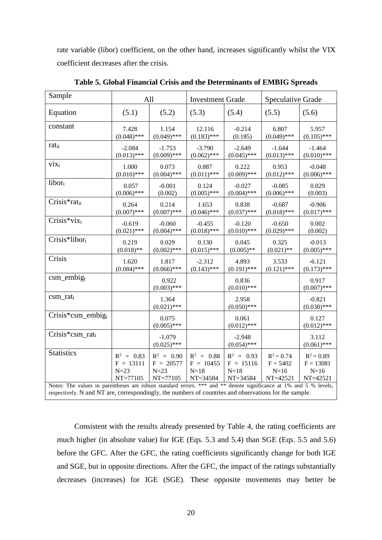rate variable (libor) coefficient, on the other hand, increases significantly whilst the VIX coefficient decreases after the crisis.

| Sample                                                                                                                                                                                                                      | All           |                           | <b>Investment Grade</b> |                           | <b>Speculative Grade</b> |                           |
|-----------------------------------------------------------------------------------------------------------------------------------------------------------------------------------------------------------------------------|---------------|---------------------------|-------------------------|---------------------------|--------------------------|---------------------------|
| Equation                                                                                                                                                                                                                    | (5.1)         | (5.2)                     | (5.3)                   | (5.4)                     | (5.5)                    | (5.6)                     |
| constant                                                                                                                                                                                                                    | 7.428         | 1.154                     | 12.116                  | $-0.214$                  | 6.807                    | 5.957                     |
|                                                                                                                                                                                                                             | $(0.048)$ *** | $(0.049)$ ***             | $(0.183)$ ***           | (0.185)                   | $(0.049)$ ***            | $(0.105)$ ***             |
| ratit                                                                                                                                                                                                                       | $-2.084$      | $-1.753$                  | $-3.790$                | $-2.649$                  | $-1.644$                 | $-1.464$                  |
|                                                                                                                                                                                                                             | $(0.013)$ *** | $(0.009)$ ***             | $(0.062)$ ***           | $(0.045)$ ***             | $(0.013)$ ***            | $(0.010)$ ***             |
| $\dot{V}$                                                                                                                                                                                                                   | 1.000         | 0.073                     | 0.887                   | 0.222                     | 0.953                    | $-0.048$                  |
|                                                                                                                                                                                                                             | $(0.010)$ *** | $(0.004)$ ***             | $(0.011)$ ***           | $(0.009)$ ***             | $(0.012)$ ***            | $(0.006)$ ***             |
| libor <sub>t</sub>                                                                                                                                                                                                          | 0.057         | $-0.001$                  | 0.124                   | $-0.027$                  | $-0.085$                 | 0.029                     |
|                                                                                                                                                                                                                             | $(0.006)$ *** | (0.002)                   | $(0.005)$ ***           | $(0.004)$ ***             | $(0.006)$ ***            | (0.003)                   |
| Crisis*ratit                                                                                                                                                                                                                | 0.264         | 0.214                     | 1.653                   | 0.838                     | $-0.687$                 | $-0.906$                  |
|                                                                                                                                                                                                                             | $(0.007)$ *** | $(0.007)$ ***             | $(0.046)$ ***           | $(0.037)$ ***             | $(0.018)$ ***            | $(0.017)$ ***             |
| $Crisis*viz_t$                                                                                                                                                                                                              | $-0.619$      | $-0.060$                  | $-0.455$                | $-0.120$                  | $-0.650$                 | 0.002                     |
|                                                                                                                                                                                                                             | $(0.021)$ *** | $(0.004)$ ***             | $(0.018)$ ***           | $(0.010)$ ***             | $(0.029)$ ***            | (0.002)                   |
| Crisis*libort                                                                                                                                                                                                               | 0.219         | 0.029                     | 0.130                   | 0.045                     | 0.325                    | $-0.013$                  |
|                                                                                                                                                                                                                             | $(0.018)$ **  | $(0.002)$ ***             | $(0.015)$ ***           | $(0.005)$ **              | $(0.021)$ **             | $(0.005)$ ***             |
| Crisis                                                                                                                                                                                                                      | 1.620         | 1.817                     | $-2.312$                | 4.893                     | 3.533                    | $-6.121$                  |
|                                                                                                                                                                                                                             | $(0.084)$ *** | $(0.066)$ ***             | $(0.143)$ ***           | $(0.191)$ ***             | $(0.121)$ ***            | $(0.173)$ ***             |
| $csm\_embig_t$                                                                                                                                                                                                              |               | 0.922<br>$(0.003)$ ***    |                         | 0.836<br>$(0.010)$ ***    |                          | 0.917<br>$(0.007)$ ***    |
| $csm\_rat_t$                                                                                                                                                                                                                |               | 1.364<br>$(0.021)$ ***    |                         | 2.958<br>$(0.050)$ ***    |                          | $-0.821$<br>$(0.038)$ *** |
| $Crisis*csm\_embig_t$                                                                                                                                                                                                       |               | 0.075<br>$(0.005)$ ***    |                         | 0.061<br>$(0.012)$ ***    |                          | 0.127<br>$(0.012)$ ***    |
| Crisis*csm_ratt                                                                                                                                                                                                             |               | $-1.079$<br>$(0.025)$ *** |                         | $-2.948$<br>$(0.054)$ *** |                          | 3.112<br>$(0.061)$ ***    |
| Statistics                                                                                                                                                                                                                  | $R^2 = 0.83$  | $R^2 = 0.90$              | $R^2 = 0.88$            | $R^2 = 0.93$              | $R^2 = 0.74$             | $R^2 = 0.89$              |
|                                                                                                                                                                                                                             | $F = 13111$   | $F = 20577$               | $F = 10455$             | $F = 15116$               | $F = 5402$               | $F = 13081$               |
|                                                                                                                                                                                                                             | $N=23$        | $N=23$                    | $N=18$                  | $N=18$                    | $N=16$                   | $N=16$                    |
|                                                                                                                                                                                                                             | NT=77105      | NT=77105                  | NT=34584                | NT=34584                  | NT=42521                 | NT=42521                  |
| Notes: The values in parentheses are robust standard errors. *** and ** denote significance at 1% and 5 % levels,<br>respectively. N and NT are, correspondingly, the numbers of countries and observations for the sample. |               |                           |                         |                           |                          |                           |

**Table 5. Global Financial Crisis and the Determinants of EMBIG Spreads**

Consistent with the results already presented by Table 4, the rating coefficients are much higher (in absolute value) for IGE (Eqs. 5.3 and 5.4) than SGE (Eqs. 5.5 and 5.6) before the GFC. After the GFC, the rating coefficients significantly change for both IGE and SGE, but in opposite directions. After the GFC, the impact of the ratings substantially decreases (increases) for IGE (SGE). These opposite movements may better be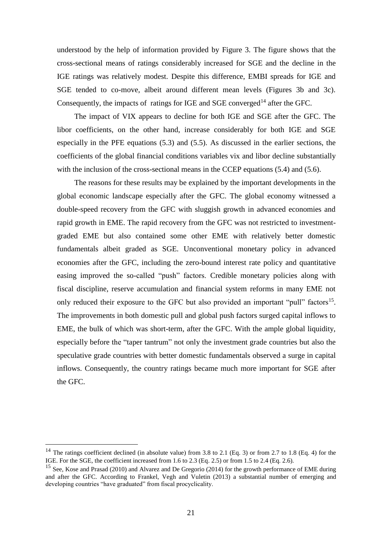understood by the help of information provided by Figure 3. The figure shows that the cross-sectional means of ratings considerably increased for SGE and the decline in the IGE ratings was relatively modest. Despite this difference, EMBI spreads for IGE and SGE tended to co-move, albeit around different mean levels (Figures 3b and 3c). Consequently, the impacts of ratings for IGE and SGE converged<sup>14</sup> after the GFC.

The impact of VIX appears to decline for both IGE and SGE after the GFC. The libor coefficients, on the other hand, increase considerably for both IGE and SGE especially in the PFE equations (5.3) and (5.5). As discussed in the earlier sections, the coefficients of the global financial conditions variables vix and libor decline substantially with the inclusion of the cross-sectional means in the CCEP equations (5.4) and (5.6).

The reasons for these results may be explained by the important developments in the global economic landscape especially after the GFC. The global economy witnessed a double-speed recovery from the GFC with sluggish growth in advanced economies and rapid growth in EME. The rapid recovery from the GFC was not restricted to investmentgraded EME but also contained some other EME with relatively better domestic fundamentals albeit graded as SGE. Unconventional monetary policy in advanced economies after the GFC, including the zero-bound interest rate policy and quantitative easing improved the so-called "push" factors. Credible monetary policies along with fiscal discipline, reserve accumulation and financial system reforms in many EME not only reduced their exposure to the GFC but also provided an important "pull" factors<sup>15</sup>. The improvements in both domestic pull and global push factors surged capital inflows to EME, the bulk of which was short-term, after the GFC. With the ample global liquidity, especially before the "taper tantrum" not only the investment grade countries but also the speculative grade countries with better domestic fundamentals observed a surge in capital inflows. Consequently, the country ratings became much more important for SGE after the GFC.

<sup>&</sup>lt;sup>14</sup> The ratings coefficient declined (in absolute value) from 3.8 to 2.1 (Eq. 3) or from 2.7 to 1.8 (Eq. 4) for the IGE. For the SGE, the coefficient increased from 1.6 to 2.3 (Eq. 2.5) or from 1.5 to 2.4 (Eq. 2.6).

<sup>&</sup>lt;sup>15</sup> See, Kose and Prasad (2010) and Alvarez and De Gregorio (2014) for the growth performance of EME during and after the GFC. According to [Frankel,](http://www.sciencedirect.com/science/article/pii/S0304387812000533#af0005) Vegh and Vuletin (2013) a substantial number of emerging and developing countries "have graduated" from fiscal procyclicality.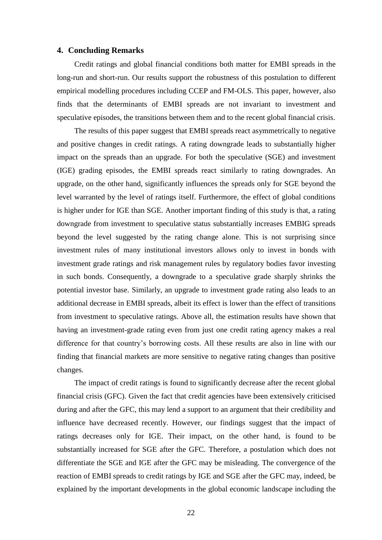#### **4. Concluding Remarks**

Credit ratings and global financial conditions both matter for EMBI spreads in the long-run and short-run. Our results support the robustness of this postulation to different empirical modelling procedures including CCEP and FM-OLS. This paper, however, also finds that the determinants of EMBI spreads are not invariant to investment and speculative episodes, the transitions between them and to the recent global financial crisis.

The results of this paper suggest that EMBI spreads react asymmetrically to negative and positive changes in credit ratings. A rating downgrade leads to substantially higher impact on the spreads than an upgrade. For both the speculative (SGE) and investment (IGE) grading episodes, the EMBI spreads react similarly to rating downgrades. An upgrade, on the other hand, significantly influences the spreads only for SGE beyond the level warranted by the level of ratings itself. Furthermore, the effect of global conditions is higher under for IGE than SGE. Another important finding of this study is that, a rating downgrade from investment to speculative status substantially increases EMBIG spreads beyond the level suggested by the rating change alone. This is not surprising since investment rules of many institutional investors allows only to invest in bonds with investment grade ratings and risk management rules by regulatory bodies favor investing in such bonds. Consequently, a downgrade to a speculative grade sharply shrinks the potential investor base. Similarly, an upgrade to investment grade rating also leads to an additional decrease in EMBI spreads, albeit its effect is lower than the effect of transitions from investment to speculative ratings. Above all, the estimation results have shown that having an investment-grade rating even from just one credit rating agency makes a real difference for that country's borrowing costs. All these results are also in line with our finding that financial markets are more sensitive to negative rating changes than positive changes.

The impact of credit ratings is found to significantly decrease after the recent global financial crisis (GFC). Given the fact that credit agencies have been extensively criticised during and after the GFC, this may lend a support to an argument that their credibility and influence have decreased recently. However, our findings suggest that the impact of ratings decreases only for IGE. Their impact, on the other hand, is found to be substantially increased for SGE after the GFC. Therefore, a postulation which does not differentiate the SGE and IGE after the GFC may be misleading. The convergence of the reaction of EMBI spreads to credit ratings by IGE and SGE after the GFC may, indeed, be explained by the important developments in the global economic landscape including the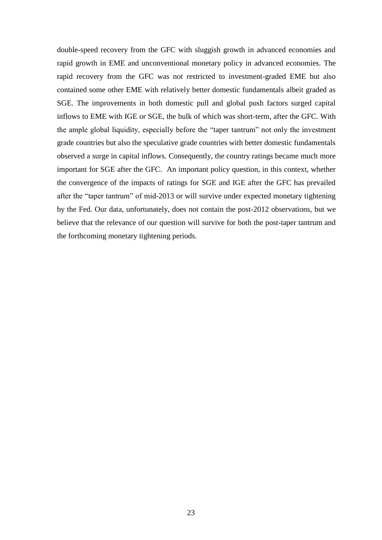double-speed recovery from the GFC with sluggish growth in advanced economies and rapid growth in EME and unconventional monetary policy in advanced economies. The rapid recovery from the GFC was not restricted to investment-graded EME but also contained some other EME with relatively better domestic fundamentals albeit graded as SGE. The improvements in both domestic pull and global push factors surged capital inflows to EME with IGE or SGE, the bulk of which was short-term, after the GFC. With the ample global liquidity, especially before the "taper tantrum" not only the investment grade countries but also the speculative grade countries with better domestic fundamentals observed a surge in capital inflows. Consequently, the country ratings became much more important for SGE after the GFC. An important policy question, in this context, whether the convergence of the impacts of ratings for SGE and IGE after the GFC has prevailed after the "taper tantrum" of mid-2013 or will survive under expected monetary tightening by the Fed. Our data, unfortunately, does not contain the post-2012 observations, but we believe that the relevance of our question will survive for both the post-taper tantrum and the forthcoming monetary tightening periods.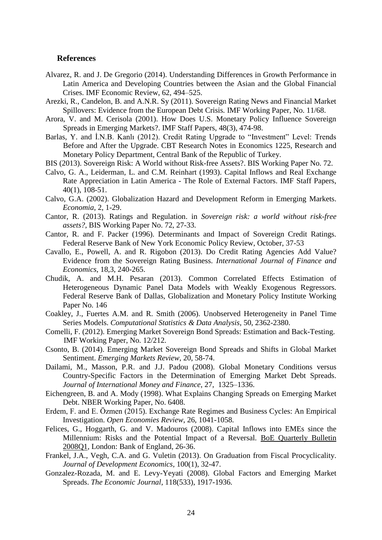#### **References**

- Alvarez, R. and J. De Gregorio (2014). Understanding Differences in Growth Performance in Latin America and Developing Countries between the Asian and the Global Financial Crises. IMF Economic Review, 62, 494–525.
- Arezki, R., Candelon, B. and A.N.R. Sy (2011). Sovereign Rating News and Financial Market Spillovers: Evidence from the European Debt Crisis*.* IMF Working Paper, No. 11/68.
- Arora, V. and M. Cerisola (2001). How Does U.S. Monetary Policy Influence Sovereign Spreads in Emerging Markets?. IMF Staff Papers, 48(3), 474-98.
- Barlas, Y. and İ.N.B. Kanlı (2012). Credit Rating Upgrade to "Investment" Level: Trends Before and After the Upgrade. CBT Research Notes in Economics 1225, Research and Monetary Policy Department, Central Bank of the Republic of Turkey.
- BIS (2013). Sovereign Risk: A World without Risk-free Assets?. BIS Working Paper No. 72.
- Calvo, G. A., Leiderman, L. and C.M. Reinhart (1993). Capital Inflows and Real Exchange Rate Appreciation in Latin America - The Role of External Factors. IMF Staff Papers, 40(1), 108-51.
- Calvo, G.A. (2002). Globalization Hazard and Development Reform in Emerging Markets. *Economia*, 2, 1-29.
- Cantor, R. (2013). Ratings and Regulation. in *Sovereign risk: a world without risk-free assets?,* BIS Working Paper No. 72, 27-33.
- Cantor, R. and F. Packer (1996). Determinants and Impact of Sovereign Credit Ratings. Federal Reserve Bank of New York Economic Policy Review, October, 37-53
- Cavallo, E., Powell, A. and R. Rigobon (2013). Do Credit Rating Agencies Add Value? Evidence from the Sovereign Rating Business. *International Journal of Finance and Economics*, 18,3, 240-265.
- Chudik, A. and M.H. Pesaran (2013). Common Correlated Effects Estimation of Heterogeneous Dynamic Panel Data Models with Weakly Exogenous Regressors. Federal Reserve Bank of Dallas, Globalization and Monetary Policy Institute Working Paper No. 146
- Coakley, J., Fuertes A.M. and R. Smith (2006). Unobserved Heterogeneity in Panel Time Series Models. *Computational Statistics & Data Analysis*, 50, 2362-2380.
- Comelli, F. (2012). Emerging Market Sovereign Bond Spreads: Estimation and Back-Testing. IMF Working Paper, No. 12/212.
- Csonto, B. (2014). Emerging Market Sovereign Bond Spreads and Shifts in Global Market Sentiment. *Emerging Markets Review*, 20, 58-74.
- Dailami, M., Masson, P.R. and J.J. Padou (2008). Global Monetary Conditions versus Country-Specific Factors in the Determination of Emerging Market Debt Spreads. *Journal of International Money and Finance*, 27, 1325–1336.
- Eichengreen, B. and A. Mody (1998). What Explains Changing Spreads on Emerging Market Debt. NBER Working Paper, No. 6408.
- Erdem, F. and E. Özmen (2015). Exchange Rate Regimes and Business Cycles: An Empirical Investigation. *Open Economies Review*, 26, 1041-1058.
- Felices, G., Hoggarth, G. and V. Madouros (2008). Capital Inflows into EMEs since the Millennium: Risks and the Potential Impact of a Reversal. BoE Quarterly Bulletin 2008Q1, London: Bank of England, 26-36.
- Frankel, J.A., Vegh, C.A. and G. Vuletin (2013). On Graduation from Fiscal Procyclicality. *[Journal of Development Economics,](http://www.sciencedirect.com/science/journal/03043878)* 100(1), 32-47.
- Gonzalez-Rozada, M. and E. Levy-Yeyati (2008). Global Factors and Emerging Market Spreads. *The Economic Journal*, 118(533), 1917-1936.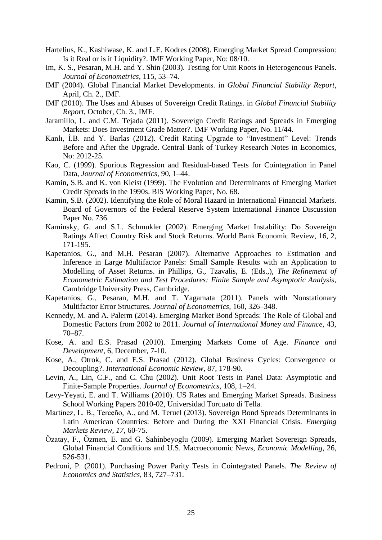- Hartelius, K., Kashiwase, K. and L.E. Kodres (2008). Emerging Market Spread Compression: Is it Real or is it Liquidity?. IMF Working Paper, No: 08/10.
- Im, K. S., Pesaran, M.H. and Y. Shin (2003). Testing for Unit Roots in Heterogeneous Panels. *Journal of Econometrics*, 115, 53–74.
- IMF (2004). Global Financial Market Developments. in *Global Financial Stability Report*, April, Ch. 2., IMF.
- IMF (2010). The Uses and Abuses of Sovereign Credit Ratings. in *Global Financial Stability Report*, October, Ch. 3., IMF.
- Jaramillo, L. and C.M. Tejada (2011). Sovereign Credit Ratings and Spreads in Emerging Markets: Does Investment Grade Matter?. IMF Working Paper, No. 11/44.
- Kanlı, İ.B. and Y. Barlas (2012). Credit Rating Upgrade to "Investment" Level: Trends Before and After the Upgrade. Central Bank of Turkey Research Notes in Economics, No: 2012-25.
- Kao, C. (1999). Spurious Regression and Residual-based Tests for Cointegration in Panel Data, *Journal of Econometrics*, 90, 1–44.
- Kamin, S.B. and K. von Kleist (1999). The Evolution and Determinants of Emerging Market Credit Spreads in the 1990s. BIS Working Paper, No. 68.
- Kamin, S.B. (2002). Identifying the Role of Moral Hazard in International Financial Markets. Board of Governors of the Federal Reserve System International Finance Discussion Paper No. 736.
- Kaminsky, G. and S.L. Schmukler (2002). Emerging Market Instability: Do Sovereign Ratings Affect Country Risk and Stock Returns. World Bank Economic Review, 16, 2, 171-195.
- Kapetanios, G., and M.H. Pesaran (2007). Alternative Approaches to Estimation and Inference in Large Multifactor Panels: Small Sample Results with an Application to Modelling of Asset Returns. in Phillips, G., Tzavalis, E. (Eds.,), *The Refinement of Econometric Estimation and Test Procedures: Finite Sample and Asymptotic Analysis*, Cambridge University Press, Cambridge.
- Kapetanios, G., Pesaran, M.H. and T. Yagamata (2011). Panels with Nonstationary Multifactor Error Structures. *Journal of Econometrics,* 160, 326–348.
- Kennedy, M. and A. Palerm (2014). Emerging Market Bond Spreads: The Role of Global and Domestic Factors from 2002 to 2011. *Journal of International Money and Finance*, 43, 70–87.
- Kose, A. and E.S. Prasad (2010). Emerging Markets Come of Age. *Finance and Development*, 6, December, 7-10.
- Kose, A., Otrok, C. and E.S. Prasad (2012). Global Business Cycles: Convergence or Decoupling?. *International Economic Review*, 87, 178-90.
- Levin, A., Lin, C.F., and C. Chu (2002). Unit Root Tests in Panel Data: Asymptotic and Finite-Sample Properties. *Journal of Econometrics*, 108, 1–24.
- Levy-Yeyati, E. and T. Williams (2010). US Rates and Emerging Market Spreads. Business School Working Papers 2010-02, Universidad Torcuato di Tella.
- Martinez, L. B., Terceño, A., and M. Teruel (2013). Sovereign Bond Spreads Determinants in Latin American Countries: Before and During the XXI Financial Crisis. *Emerging Markets Review*, *17*, 60-75.
- Özatay, F., Özmen, E. and G. Şahinbeyoglu (2009). Emerging Market Sovereign Spreads, Global Financial Conditions and U.S. Macroeconomic News, *Economic Modelling*, 26, 526-531.
- Pedroni, P. (2001). Purchasing Power Parity Tests in Cointegrated Panels. *The Review of Economics and Statistics*, 83, 727–731.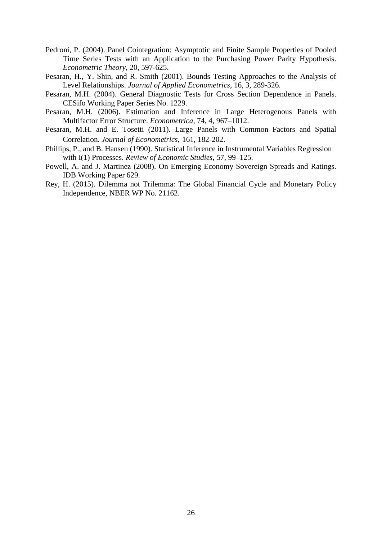- Pedroni, P. (2004). Panel Cointegration: Asymptotic and Finite Sample Properties of Pooled Time Series Tests with an Application to the Purchasing Power Parity Hypothesis. *Econometric Theory*, 20, 597-625.
- Pesaran, H., Y. Shin, and R. Smith (2001). Bounds Testing Approaches to the Analysis of Level Relationships. *Journal of Applied Econometrics*, 16, 3, 289-326.
- Pesaran, M.H. (2004). General Diagnostic Tests for Cross Section Dependence in Panels. CESifo Working Paper Series No. 1229.
- Pesaran, M.H. (2006). Estimation and Inference in Large Heterogenous Panels with Multifactor Error Structure. *Econometrica*, 74, 4, 967–1012.
- Pesaran, M.H. and E. Tosetti (2011). Large Panels with Common Factors and Spatial Correlation. *Journal of Econometrics*, 161, 182-202.
- Phillips, P., and B. Hansen (1990). Statistical Inference in Instrumental Variables Regression with I(1) Processes. *Review of Economic Studies*, 57, 99–125.
- Powell, A. and J. Martinez (2008). On Emerging Economy Sovereign Spreads and Ratings. IDB Working Paper 629.
- Rey, H. (2015). Dilemma not Trilemma: The Global Financial Cycle and Monetary Policy Independence, NBER WP No. 21162.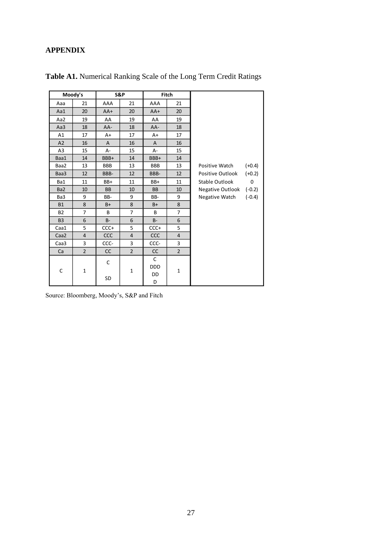# **APPENDIX**

|                 | Moody's        |               | S&P            |               | Fitch          |                  |          |
|-----------------|----------------|---------------|----------------|---------------|----------------|------------------|----------|
| Aaa             | 21             | AAA           | 21             | AAA           | 21             |                  |          |
| Aa1             | 20             | $AA+$         | 20             | $AA+$         | 20             |                  |          |
| Aa2             | 19             | AA            | 19             | AA            | 19             |                  |          |
| Aa3             | 18             | AA-           | 18             | AA-           | 18             |                  |          |
| A1              | 17             | A+            | 17             | A+            | 17             |                  |          |
| A2              | 16             | A             | 16             | A             | 16             |                  |          |
| A <sub>3</sub>  | 15             | А-            | 15             | A-            | 15             |                  |          |
| Baa1            | 14             | BBB+          | 14             | BBB+          | 14             |                  |          |
| Baa2            | 13             | <b>BBB</b>    | 13             | BBB           | 13             | Positive Watch   | $(+0.4)$ |
| Baa3            | 12             | BBB-          | 12             | BBB-          | 12             | Positive Outlook | $(+0.2)$ |
| Ba1             | 11             | BB+           | 11             | BB+           | 11             | Stable Outlook   | 0        |
| Ba <sub>2</sub> | 10             | <b>BB</b>     | 10             | <b>BB</b>     | 10             | Negative Outlook | $(-0.2)$ |
| Ba3             | 9              | BB-           | 9              | BB-           | 9              | Negative Watch   | $(-0.4)$ |
| <b>B1</b>       | 8              | $B+$          | 8              | $B+$          | 8              |                  |          |
| <b>B2</b>       | $\overline{7}$ | B             | $\overline{7}$ | B             | $\overline{7}$ |                  |          |
| B <sub>3</sub>  | 6              | <b>B-</b>     | 6              | $B -$         | 6              |                  |          |
| Caa1            | 5              | CCC+          | 5              | $CCC +$       | 5              |                  |          |
| Caa2            | $\overline{4}$ | <b>CCC</b>    | $\overline{4}$ | <b>CCC</b>    | $\overline{4}$ |                  |          |
| Caa3            | 3              | CCC-          | 3              | CCC-          | 3              |                  |          |
| Ca              | $\overline{2}$ | $\mathsf{CC}$ | $\overline{2}$ | $\mathsf{CC}$ | $\overline{2}$ |                  |          |
|                 |                | C             |                | $\mathsf C$   |                |                  |          |
| C               | $\mathbf{1}$   |               | $\mathbf{1}$   | <b>DDD</b>    | $\mathbf{1}$   |                  |          |
|                 |                | SD            |                | DD            |                |                  |          |
|                 |                |               |                | D             |                |                  |          |

**Table A1.** Numerical Ranking Scale of the Long Term Credit Ratings

Source: Bloomberg, Moody's, S&P and Fitch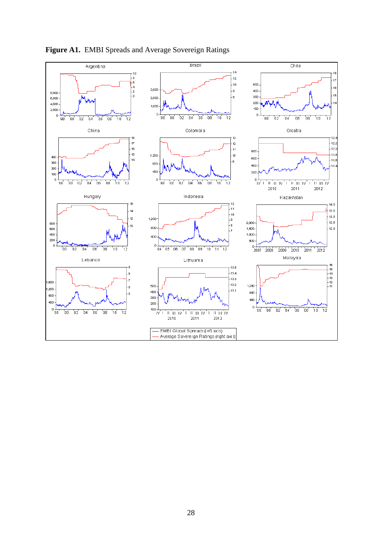

### **Figure A1.** EMBI Spreads and Average Sovereign Ratings